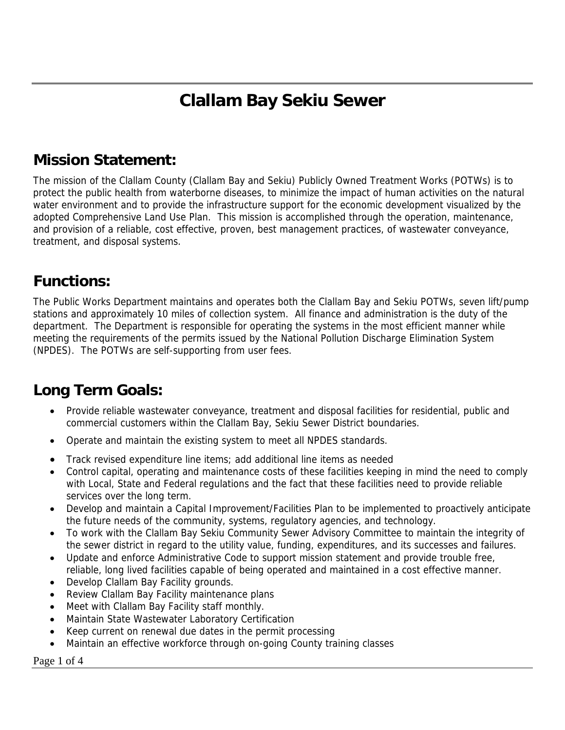# **Clallam Bay Sekiu Sewer**

# **Mission Statement:**

The mission of the Clallam County (Clallam Bay and Sekiu) Publicly Owned Treatment Works (POTWs) is to protect the public health from waterborne diseases, to minimize the impact of human activities on the natural water environment and to provide the infrastructure support for the economic development visualized by the adopted Comprehensive Land Use Plan. This mission is accomplished through the operation, maintenance, and provision of a reliable, cost effective, proven, best management practices, of wastewater conveyance, treatment, and disposal systems.

#### **Functions:**

The Public Works Department maintains and operates both the Clallam Bay and Sekiu POTWs, seven lift/pump stations and approximately 10 miles of collection system. All finance and administration is the duty of the department. The Department is responsible for operating the systems in the most efficient manner while meeting the requirements of the permits issued by the National Pollution Discharge Elimination System (NPDES). The POTWs are self-supporting from user fees.

### **Long Term Goals:**

- Provide reliable wastewater conveyance, treatment and disposal facilities for residential, public and commercial customers within the Clallam Bay, Sekiu Sewer District boundaries.
- Operate and maintain the existing system to meet all NPDES standards.
- Track revised expenditure line items; add additional line items as needed
- Control capital, operating and maintenance costs of these facilities keeping in mind the need to comply with Local, State and Federal regulations and the fact that these facilities need to provide reliable services over the long term.
- Develop and maintain a Capital Improvement/Facilities Plan to be implemented to proactively anticipate the future needs of the community, systems, regulatory agencies, and technology.
- To work with the Clallam Bay Sekiu Community Sewer Advisory Committee to maintain the integrity of the sewer district in regard to the utility value, funding, expenditures, and its successes and failures.
- Update and enforce Administrative Code to support mission statement and provide trouble free, reliable, long lived facilities capable of being operated and maintained in a cost effective manner.
- Develop Clallam Bay Facility grounds.
- Review Clallam Bay Facility maintenance plans
- Meet with Clallam Bay Facility staff monthly.
- Maintain State Wastewater Laboratory Certification
- Keep current on renewal due dates in the permit processing
- Maintain an effective workforce through on-going County training classes

Page 1 of 4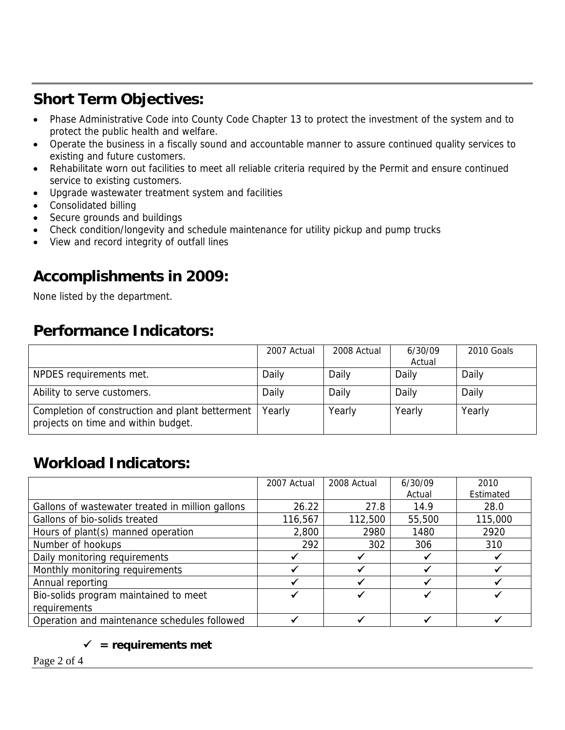# **Short Term Objectives:**

- Phase Administrative Code into County Code Chapter 13 to protect the investment of the system and to protect the public health and welfare.
- Operate the business in a fiscally sound and accountable manner to assure continued quality services to existing and future customers.
- Rehabilitate worn out facilities to meet all reliable criteria required by the Permit and ensure continued service to existing customers.
- Upgrade wastewater treatment system and facilities
- Consolidated billing
- Secure grounds and buildings
- Check condition/longevity and schedule maintenance for utility pickup and pump trucks
- View and record integrity of outfall lines

# **Accomplishments in 2009:**

None listed by the department.

### **Performance Indicators:**

|                                                                                        | 2007 Actual | 2008 Actual | 6/30/09<br>Actual | 2010 Goals |
|----------------------------------------------------------------------------------------|-------------|-------------|-------------------|------------|
| NPDES requirements met.                                                                | Daily       | Daily       | Daily             | Daily      |
| Ability to serve customers.                                                            | Daily       | Daily       | Daily             | Daily      |
| Completion of construction and plant betterment<br>projects on time and within budget. | Yearly      | Yearly      | Yearly            | Yearly     |

### **Workload Indicators:**

|                                                  | 2007 Actual | 2008 Actual | 6/30/09 | 2010      |
|--------------------------------------------------|-------------|-------------|---------|-----------|
|                                                  |             |             | Actual  | Estimated |
| Gallons of wastewater treated in million gallons | 26.22       | 27.8        | 14.9    | 28.0      |
| Gallons of bio-solids treated                    | 116,567     | 112,500     | 55,500  | 115,000   |
| Hours of plant(s) manned operation               | 2,800       | 2980        | 1480    | 2920      |
| Number of hookups                                | 292         | 302         | 306     | 310       |
| Daily monitoring requirements                    |             |             |         |           |
| Monthly monitoring requirements                  |             |             |         |           |
| Annual reporting                                 |             |             |         |           |
| Bio-solids program maintained to meet            |             |             |         |           |
| requirements                                     |             |             |         |           |
| Operation and maintenance schedules followed     |             |             |         |           |

#### $\checkmark$  = requirements met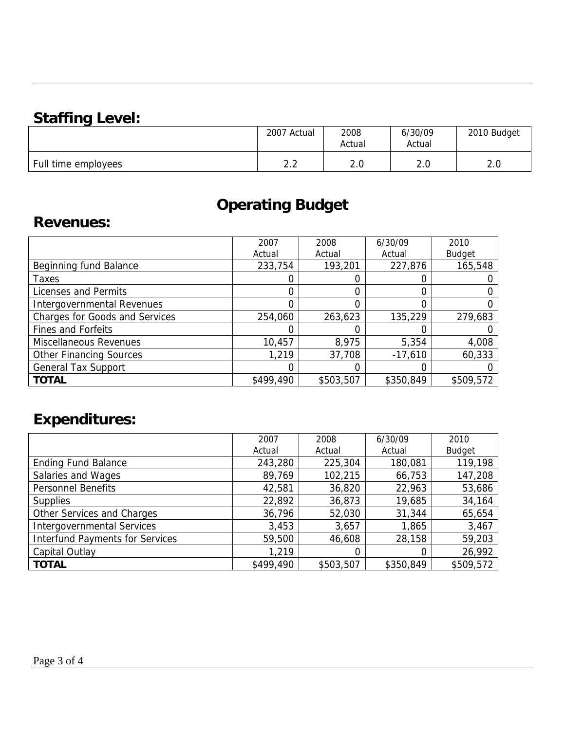### **Staffing Level:**

| -                   | 2007 Actual | 2008<br>Actual | 6/30/09<br>Actual | 2010 Budget |
|---------------------|-------------|----------------|-------------------|-------------|
| Full time employees | $\sim$      | ח ר            | $\Omega$          | ົດ          |
|                     | ے . ۔       | z.u            | z.u               | z.v         |

# **Operating Budget**

#### **Revenues:**

|                                       | 2007      | 2008      | 6/30/09   | 2010          |
|---------------------------------------|-----------|-----------|-----------|---------------|
|                                       | Actual    | Actual    | Actual    | <b>Budget</b> |
| Beginning fund Balance                | 233,754   | 193,201   | 227,876   | 165,548       |
| Taxes                                 |           |           |           |               |
| Licenses and Permits                  |           | 0         |           |               |
| <b>Intergovernmental Revenues</b>     |           | 0         |           |               |
| <b>Charges for Goods and Services</b> | 254,060   | 263,623   | 135,229   | 279,683       |
| <b>Fines and Forfeits</b>             |           | 0         |           |               |
| <b>Miscellaneous Revenues</b>         | 10,457    | 8,975     | 5,354     | 4,008         |
| <b>Other Financing Sources</b>        | 1,219     | 37,708    | $-17,610$ | 60,333        |
| <b>General Tax Support</b>            |           | 0         |           |               |
| <b>TOTAL</b>                          | \$499,490 | \$503,507 | \$350,849 | \$509,572     |

# **Expenditures:**

|                                        | 2007      | 2008      | 6/30/09   | 2010          |
|----------------------------------------|-----------|-----------|-----------|---------------|
|                                        | Actual    | Actual    | Actual    | <b>Budget</b> |
| <b>Ending Fund Balance</b>             | 243,280   | 225,304   | 180,081   | 119,198       |
| Salaries and Wages                     | 89,769    | 102,215   | 66,753    | 147,208       |
| <b>Personnel Benefits</b>              | 42,581    | 36,820    | 22,963    | 53,686        |
| <b>Supplies</b>                        | 22,892    | 36,873    | 19,685    | 34,164        |
| Other Services and Charges             | 36,796    | 52,030    | 31,344    | 65,654        |
| <b>Intergovernmental Services</b>      | 3,453     | 3,657     | 1,865     | 3,467         |
| <b>Interfund Payments for Services</b> | 59,500    | 46,608    | 28,158    | 59,203        |
| Capital Outlay                         | 1,219     | 0         | 0         | 26,992        |
| <b>TOTAL</b>                           | \$499,490 | \$503,507 | \$350,849 | \$509,572     |